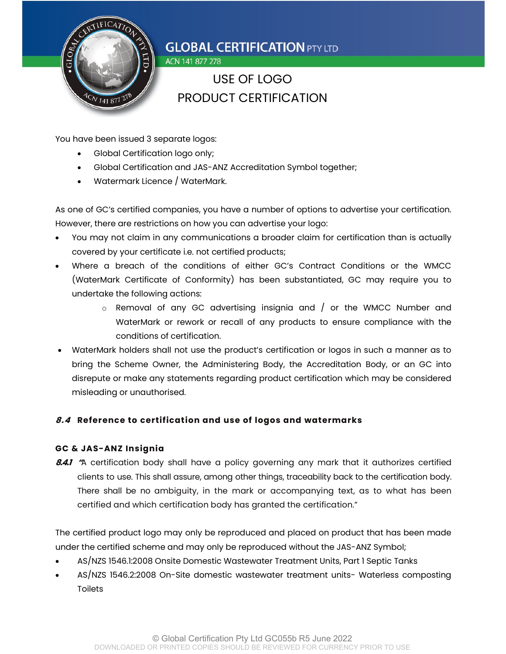

# USE OF LOGO PRODUCT CERTIFICATION

You have been issued 3 separate logos:

- Global Certification logo only;
- Global Certification and JAS-ANZ Accreditation Symbol together;

ACN 141 877 278

Watermark Licence / WaterMark.

As one of GC's certified companies, you have a number of options to advertise your certification. However, there are restrictions on how you can advertise your logo:

- You may not claim in any communications a broader claim for certification than is actually covered by your certificate i.e. not certified products;
- Where a breach of the conditions of either GC's Contract Conditions or the WMCC (WaterMark Certificate of Conformity) has been substantiated, GC may require you to undertake the following actions:
	- $\circ$  Removal of any GC advertising insignia and  $/$  or the WMCC Number and WaterMark or rework or recall of any products to ensure compliance with the conditions of certification.
- WaterMark holders shall not use the product's certification or logos in such a manner as to bring the Scheme Owner, the Administering Body, the Accreditation Body, or an GC into disrepute or make any statements regarding product certification which may be considered misleading or unauthorised.

#### 8.4 Reference to certification and use of logos and watermarks

#### GC & JAS-ANZ Insignia

8.4.1 "A certification body shall have a policy governing any mark that it authorizes certified clients to use. This shall assure, among other things, traceability back to the certification body. There shall be no ambiguity, in the mark or accompanying text, as to what has been certified and which certification body has granted the certification."

The certified product logo may only be reproduced and placed on product that has been made under the certified scheme and may only be reproduced without the JAS-ANZ Symbol;

- AS/NZS 1546.1:2008 Onsite Domestic Wastewater Treatment Units, Part 1 Septic Tanks
- AS/NZS 1546.2:2008 On-Site domestic wastewater treatment units- Waterless composting Toilets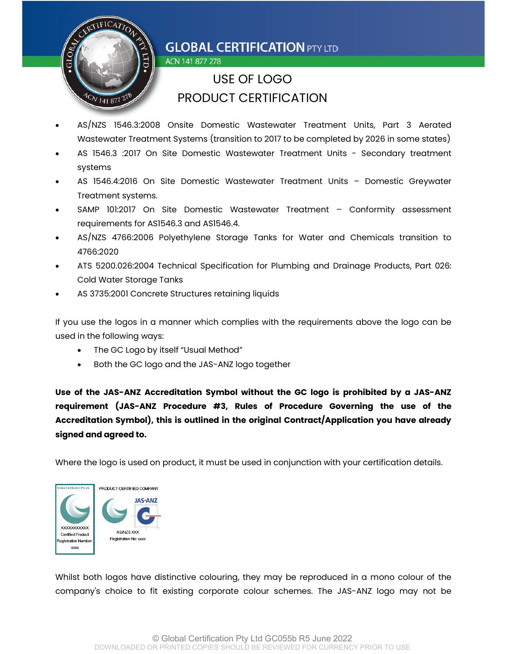

ACN 141 877 278

# USE OF LOGO PRODUCT CERTIFICATION

- AS/NZS 1546.3:2008 Onsite Domestic Wastewater Treatment Units, Part 3 Aerated Wastewater Treatment Systems (transition to 2017 to be completed by 2026 in some states)
- AS 1546.3 :2017 On Site Domestic Wastewater Treatment Units Secondary treatment systems
- AS 1546.4:2016 On Site Domestic Wastewater Treatment Units Domestic Greywater Treatment systems.
- SAMP 101:2017 On Site Domestic Wastewater Treatment Conformity assessment requirements for AS1546.3 and AS1546.4.
- AS/NZS 4766:2006 Polyethylene Storage Tanks for Water and Chemicals transition to 4766:2020
- ATS 5200.026:2004 Technical Specification for Plumbing and Drainage Products, Part 026: Cold Water Storage Tanks
- AS 3735:2001 Concrete Structures retaining liquids

If you use the logos in a manner which complies with the requirements above the logo can be used in the following ways:

- The GC Logo by itself "Usual Method"
- Both the GC logo and the JAS-ANZ logo together

Use of the JAS-ANZ Accreditation Symbol without the GC logo is prohibited by a JAS-ANZ requirement (JAS-ANZ Procedure #3, Rules of Procedure Governing the use of the Accreditation Symbol), this is outlined in the original Contract/Application you have already signed and agreed to.

Where the logo is used on product, it must be used in conjunction with your certification details.



Whilst both logos have distinctive colouring, they may be reproduced in a mono colour of the company's choice to fit existing corporate colour schemes. The JAS-ANZ logo may not be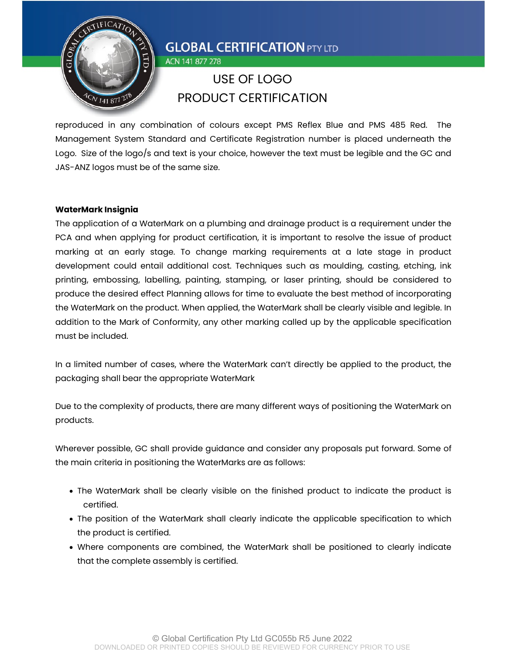

ACN 141 877 278

## USE OF LOGO PRODUCT CERTIFICATION

reproduced in any combination of colours except PMS Reflex Blue and PMS 485 Red. The Management System Standard and Certificate Registration number is placed underneath the Logo. Size of the logo/s and text is your choice, however the text must be legible and the GC and JAS-ANZ logos must be of the same size.

#### WaterMark Insignia

The application of a WaterMark on a plumbing and drainage product is a requirement under the PCA and when applying for product certification, it is important to resolve the issue of product marking at an early stage. To change marking requirements at a late stage in product development could entail additional cost. Techniques such as moulding, casting, etching, ink printing, embossing, labelling, painting, stamping, or laser printing, should be considered to produce the desired effect Planning allows for time to evaluate the best method of incorporating the WaterMark on the product. When applied, the WaterMark shall be clearly visible and legible. In addition to the Mark of Conformity, any other marking called up by the applicable specification must be included.

In a limited number of cases, where the WaterMark can't directly be applied to the product, the packaging shall bear the appropriate WaterMark

Due to the complexity of products, there are many different ways of positioning the WaterMark on products.

Wherever possible, GC shall provide guidance and consider any proposals put forward. Some of the main criteria in positioning the WaterMarks are as follows:

- The WaterMark shall be clearly visible on the finished product to indicate the product is certified.
- The position of the WaterMark shall clearly indicate the applicable specification to which the product is certified.
- Where components are combined, the WaterMark shall be positioned to clearly indicate that the complete assembly is certified.